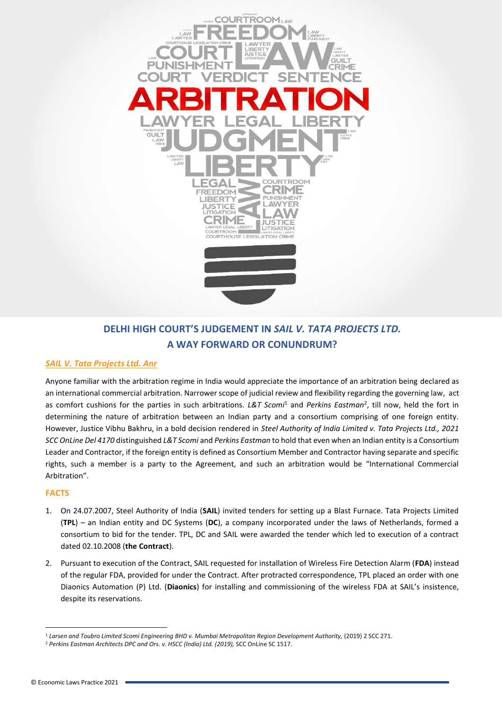

## **DELHI HIGH COURT'S JUDGEMENT IN** *SAIL V. TATA PROJECTS LTD.* **A WAY FORWARD OR CONUNDRUM?**

## *SAIL V. Tata Projects Ltd. Anr*

Anyone familiar with the arbitration regime in India would appreciate the importance of an arbitration being declared as an international commercial arbitration. Narrower scope of judicial review and flexibility regarding the governing law, act as comfort cushions for the parties in such arbitrations. L&T Scomi<sup>1</sup> and Perkins Eastman<sup>2</sup>, till now, held the fort in determining the nature of arbitration between an Indian party and a consortium comprising of one foreign entity. However, Justice Vibhu Bakhru, in a bold decision rendered in *Steel Authority of India Limited v. Tata Projects Ltd., 2021 SCC OnLine Del 4170* distinguished *L&T Scomi* and *Perkins Eastman* to hold that even when an Indian entity is a Consortium Leader and Contractor, if the foreign entity is defined as Consortium Member and Contractor having separate and specific rights, such a member is a party to the Agreement, and such an arbitration would be "International Commercial Arbitration".

## **FACTS**

- 1. On 24.07.2007, Steel Authority of India (**SAIL**) invited tenders for setting up a Blast Furnace. Tata Projects Limited (**TPL**) – an Indian entity and DC Systems (**DC**), a company incorporated under the laws of Netherlands, formed a consortium to bid for the tender. TPL, DC and SAIL were awarded the tender which led to execution of a contract dated 02.10.2008 (**the Contract**).
- 2. Pursuant to execution of the Contract, SAIL requested for installation of Wireless Fire Detection Alarm (**FDA**) instead of the regular FDA, provided for under the Contract. After protracted correspondence, TPL placed an order with one Diaonics Automation (P) Ltd. (**Diaonics**) for installing and commissioning of the wireless FDA at SAIL's insistence, despite its reservations.

<sup>1</sup> *Larsen and Toubro Limited Scomi Engineering BHD v. Mumbai Metropolitan Region Development Authority,* (2019) 2 SCC 271.

<sup>2</sup> *Perkins Eastman Architects DPC and Ors. v. HSCC (India) Ltd. (2019),* SCC OnLine SC 1517.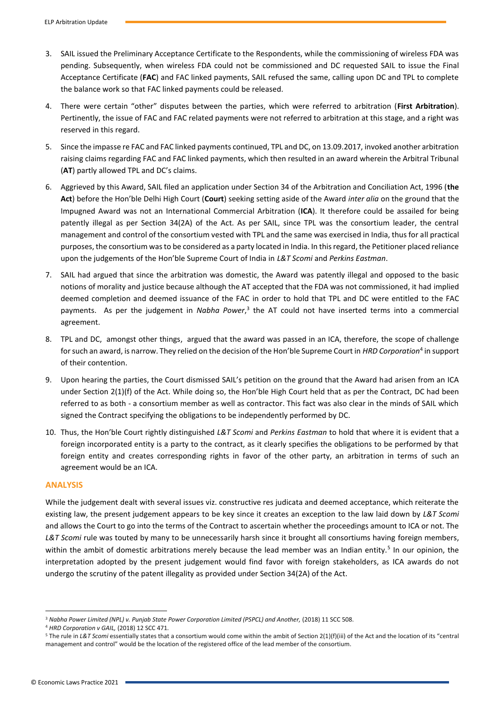- 3. SAIL issued the Preliminary Acceptance Certificate to the Respondents, while the commissioning of wireless FDA was pending. Subsequently, when wireless FDA could not be commissioned and DC requested SAIL to issue the Final Acceptance Certificate (**FAC**) and FAC linked payments, SAIL refused the same, calling upon DC and TPL to complete the balance work so that FAC linked payments could be released.
- 4. There were certain "other" disputes between the parties, which were referred to arbitration (**First Arbitration**). Pertinently, the issue of FAC and FAC related payments were not referred to arbitration at this stage, and a right was reserved in this regard.
- 5. Since the impasse re FAC and FAC linked payments continued, TPL and DC, on 13.09.2017, invoked another arbitration raising claims regarding FAC and FAC linked payments, which then resulted in an award wherein the Arbitral Tribunal (**AT**) partly allowed TPL and DC's claims.
- 6. Aggrieved by this Award, SAIL filed an application under Section 34 of the Arbitration and Conciliation Act, 1996 (**the Act**) before the Hon'ble Delhi High Court (**Court**) seeking setting aside of the Award *inter alia* on the ground that the Impugned Award was not an International Commercial Arbitration (**ICA**). It therefore could be assailed for being patently illegal as per Section 34(2A) of the Act. As per SAIL, since TPL was the consortium leader, the central management and control of the consortium vested with TPL and the same was exercised in India, thus for all practical purposes, the consortium was to be considered as a party located in India. In this regard, the Petitioner placed reliance upon the judgements of the Hon'ble Supreme Court of India in *L&T Scomi* and *Perkins Eastman*.
- 7. SAIL had argued that since the arbitration was domestic, the Award was patently illegal and opposed to the basic notions of morality and justice because although the AT accepted that the FDA was not commissioned, it had implied deemed completion and deemed issuance of the FAC in order to hold that TPL and DC were entitled to the FAC payments. As per the judgement in Nabha Power,<sup>3</sup> the AT could not have inserted terms into a commercial agreement.
- 8. TPL and DC, amongst other things, argued that the award was passed in an ICA, therefore, the scope of challenge for such an award, is narrow. They relied on the decision of the Hon'ble Supreme Court in *HRD Corporation*<sup>4</sup> in support of their contention.
- 9. Upon hearing the parties, the Court dismissed SAIL's petition on the ground that the Award had arisen from an ICA under Section 2(1)(f) of the Act. While doing so, the Hon'ble High Court held that as per the Contract, DC had been referred to as both - a consortium member as well as contractor. This fact was also clear in the minds of SAIL which signed the Contract specifying the obligations to be independently performed by DC.
- 10. Thus, the Hon'ble Court rightly distinguished *L&T Scomi* and *Perkins Eastman* to hold that where it is evident that a foreign incorporated entity is a party to the contract, as it clearly specifies the obligations to be performed by that foreign entity and creates corresponding rights in favor of the other party, an arbitration in terms of such an agreement would be an ICA.

## **ANALYSIS**

While the judgement dealt with several issues viz. constructive res judicata and deemed acceptance, which reiterate the existing law, the present judgement appears to be key since it creates an exception to the law laid down by *L&T Scomi*  and allows the Court to go into the terms of the Contract to ascertain whether the proceedings amount to ICA or not. The *L&T Scomi* rule was touted by many to be unnecessarily harsh since it brought all consortiums having foreign members, within the ambit of domestic arbitrations merely because the lead member was an Indian entity.<sup>5</sup> In our opinion, the interpretation adopted by the present judgement would find favor with foreign stakeholders, as ICA awards do not undergo the scrutiny of the patent illegality as provided under Section 34(2A) of the Act.

<sup>&</sup>lt;sup>3</sup> Nabha Power Limited (NPL) v. Punjab State Power Corporation Limited (PSPCL) and Another, (2018) 11 SCC 508.

<sup>4</sup> *HRD Corporation v GAIL,* (2018) 12 SCC 471.

<sup>&</sup>lt;sup>5</sup> The rule in L&T Scomi essentially states that a consortium would come within the ambit of Section 2(1)(f)(iii) of the Act and the location of its "central management and control" would be the location of the registered office of the lead member of the consortium.